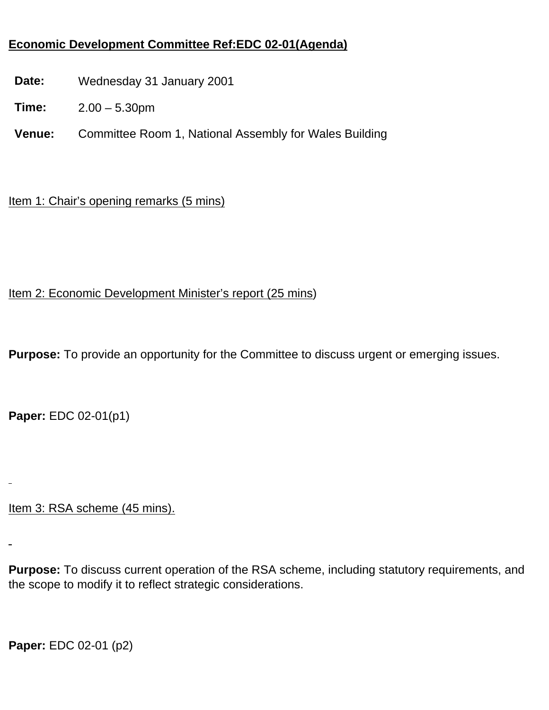## **Economic Development Committee Ref:EDC 02-01(Agenda)**

- **Date:** Wednesday 31 January 2001
- **Time:** 2.00 5.30pm
- **Venue:** Committee Room 1, National Assembly for Wales Building

## Item 1: Chair's opening remarks (5 mins)

## Item 2: Economic Development Minister's report (25 mins)

**Purpose:** To provide an opportunity for the Committee to discuss urgent or emerging issues.

**Paper:** EDC 02-01(p1)

Item 3: RSA scheme (45 mins).

**Purpose:** To discuss current operation of the RSA scheme, including statutory requirements, and the scope to modify it to reflect strategic considerations.

**Paper:** EDC 02-01 (p2)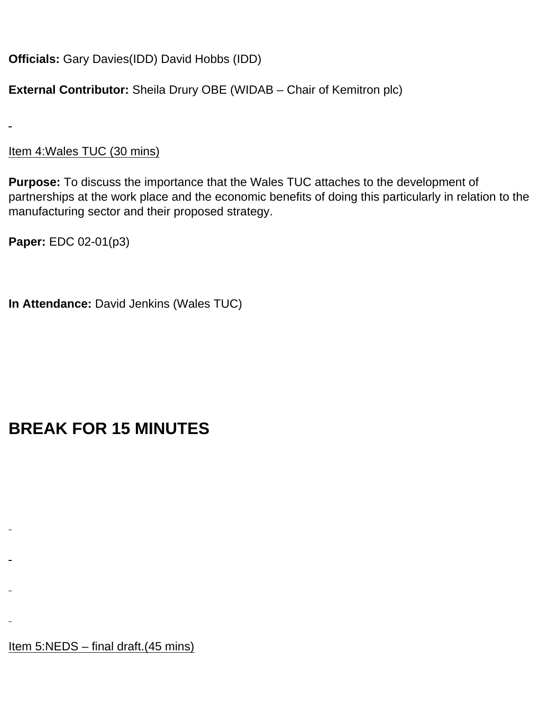**Officials:** Gary Davies(IDD) David Hobbs (IDD)

**External Contributor:** Sheila Drury OBE (WIDAB – Chair of Kemitron plc)

Item 4:Wales TUC (30 mins)

**Purpose:** To discuss the importance that the Wales TUC attaches to the development of partnerships at the work place and the economic benefits of doing this particularly in relation to the manufacturing sector and their proposed strategy.

**Paper:** EDC 02-01(p3)

**In Attendance:** David Jenkins (Wales TUC)

## **BREAK FOR 15 MINUTES**

Item 5:NEDS – final draft.(45 mins)